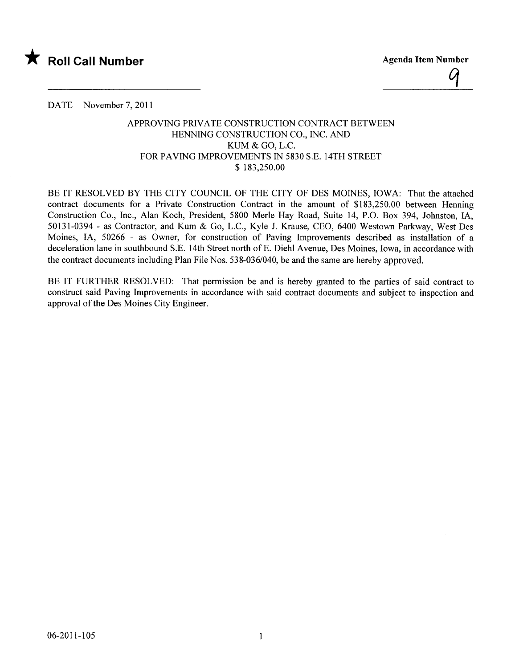

DATE November 7, 2011

## APPROVING PRIVATE CONSTRUCTION CONTRACT BETWEEN HENNING CONSTRUCTION CO., INC. AND KUM & GO, L.C. FOR PAVING IMPROVEMENTS IN 5830 S.E. 14TH STREET \$ 183,250.00

BE IT RESOLVED BY THE CITY COUNCIL OF THE CITY OF DES MOINES, IOWA: That the attached contract documents for a Private Construction Contract in the amount of \$183,250.00 between Henning Construction Co., Inc., Alan Koch, President, 5800 Merle Hay Road, Suite 14, P.O. Box 394, Johnston, lA, 50131-0394 - as Contractor, and Kum & Go, L.C., Kyle J. Krause, CEO, 6400 Westown Parkway, West Des Moines, lA, 50266 - as Owner, for construction of Paving Improvements described as installation of a deceleration lane in southbound S.E. 14th Street north ofE. Diehl Avenue, Des Moines, Iowa, in accordance with the contract documents including Plan File Nos. 538-036/040, be and the same are hereby approved.

BE IT FURTHER RESOLVED: That permission be and is hereby granted to the parties of said contract to construct said Paving Improvements in accordance with said contract documents and subject to inspection and approval of the Des Moines City Engineer.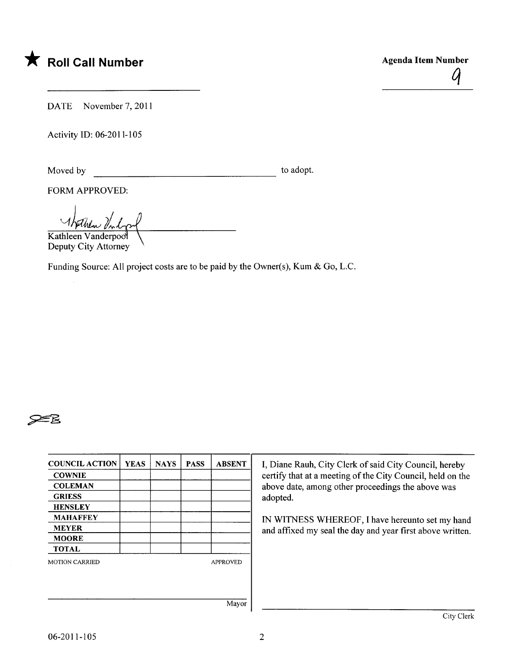

DATE November 7, 2011

Activity ID: 06-2011-105

Moved by to adopt.

FORM APPROVED:

<u>Whither Vilop</u>

Deputy City Attorney

Funding Source: All project costs are to be paid by the Owner(s), Kum & Go, L.C.

## **?=R**

| <b>COUNCIL ACTION</b> | <b>YEAS</b> | <b>NAYS</b> | <b>PASS</b> | <b>ABSENT</b>   | I, Diane Rauh, City Clerk of said City Council, hereby                                                       |  |  |
|-----------------------|-------------|-------------|-------------|-----------------|--------------------------------------------------------------------------------------------------------------|--|--|
| <b>COWNIE</b>         |             |             |             |                 | certify that at a meeting of the City Council, held on the                                                   |  |  |
| <b>COLEMAN</b>        |             |             |             |                 | above date, among other proceedings the above was                                                            |  |  |
| <b>GRIESS</b>         |             |             |             |                 | adopted.                                                                                                     |  |  |
| <b>HENSLEY</b>        |             |             |             |                 |                                                                                                              |  |  |
| <b>MAHAFFEY</b>       |             |             |             |                 | IN WITNESS WHEREOF, I have hereunto set my hand<br>and affixed my seal the day and year first above written. |  |  |
| <b>MEYER</b>          |             |             |             |                 |                                                                                                              |  |  |
| <b>MOORE</b>          |             |             |             |                 |                                                                                                              |  |  |
| <b>TOTAL</b>          |             |             |             |                 |                                                                                                              |  |  |
| <b>MOTION CARRIED</b> |             |             |             | <b>APPROVED</b> |                                                                                                              |  |  |
|                       |             |             |             |                 |                                                                                                              |  |  |
|                       |             |             |             |                 |                                                                                                              |  |  |
|                       |             |             |             | Mayor           |                                                                                                              |  |  |